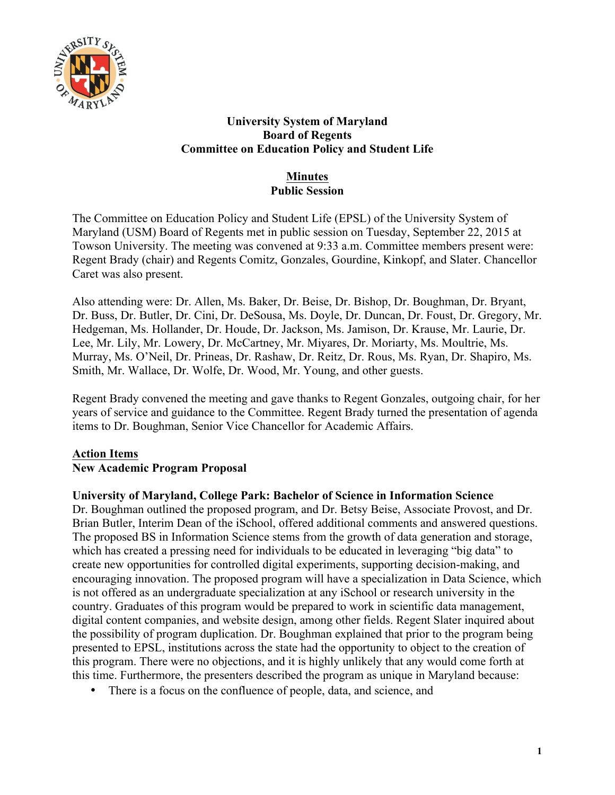

## **University System of Maryland Board of Regents Committee on Education Policy and Student Life**

# **Minutes Public Session**

The Committee on Education Policy and Student Life (EPSL) of the University System of Maryland (USM) Board of Regents met in public session on Tuesday, September 22, 2015 at Towson University. The meeting was convened at 9:33 a.m. Committee members present were: Regent Brady (chair) and Regents Comitz, Gonzales, Gourdine, Kinkopf, and Slater. Chancellor Caret was also present.

Also attending were: Dr. Allen, Ms. Baker, Dr. Beise, Dr. Bishop, Dr. Boughman, Dr. Bryant, Dr. Buss, Dr. Butler, Dr. Cini, Dr. DeSousa, Ms. Doyle, Dr. Duncan, Dr. Foust, Dr. Gregory, Mr. Hedgeman, Ms. Hollander, Dr. Houde, Dr. Jackson, Ms. Jamison, Dr. Krause, Mr. Laurie, Dr. Lee, Mr. Lily, Mr. Lowery, Dr. McCartney, Mr. Miyares, Dr. Moriarty, Ms. Moultrie, Ms. Murray, Ms. O'Neil, Dr. Prineas, Dr. Rashaw, Dr. Reitz, Dr. Rous, Ms. Ryan, Dr. Shapiro, Ms. Smith, Mr. Wallace, Dr. Wolfe, Dr. Wood, Mr. Young, and other guests.

Regent Brady convened the meeting and gave thanks to Regent Gonzales, outgoing chair, for her years of service and guidance to the Committee. Regent Brady turned the presentation of agenda items to Dr. Boughman, Senior Vice Chancellor for Academic Affairs.

# **Action Items**

## **New Academic Program Proposal**

## **University of Maryland, College Park: Bachelor of Science in Information Science**

Dr. Boughman outlined the proposed program, and Dr. Betsy Beise, Associate Provost, and Dr. Brian Butler, Interim Dean of the iSchool, offered additional comments and answered questions. The proposed BS in Information Science stems from the growth of data generation and storage, which has created a pressing need for individuals to be educated in leveraging "big data" to create new opportunities for controlled digital experiments, supporting decision-making, and encouraging innovation. The proposed program will have a specialization in Data Science, which is not offered as an undergraduate specialization at any iSchool or research university in the country. Graduates of this program would be prepared to work in scientific data management, digital content companies, and website design, among other fields. Regent Slater inquired about the possibility of program duplication. Dr. Boughman explained that prior to the program being presented to EPSL, institutions across the state had the opportunity to object to the creation of this program. There were no objections, and it is highly unlikely that any would come forth at this time. Furthermore, the presenters described the program as unique in Maryland because:

• There is a focus on the confluence of people, data, and science, and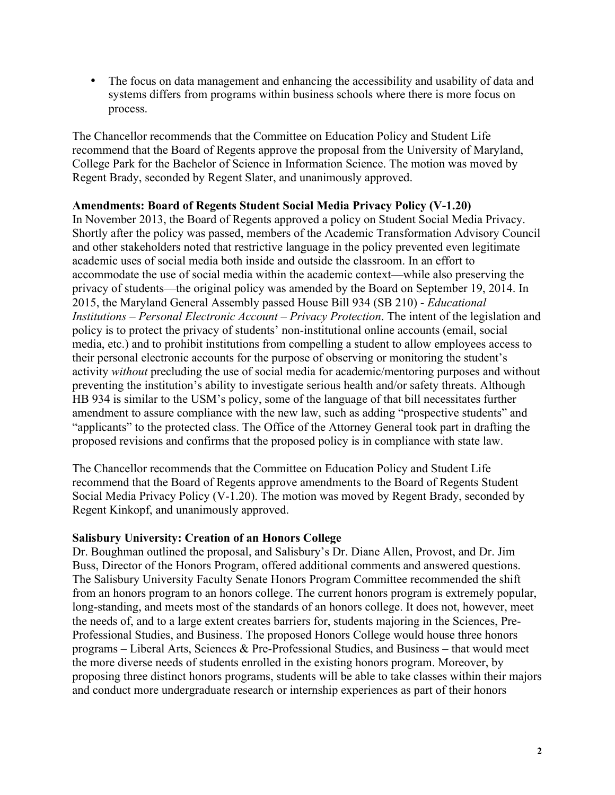• The focus on data management and enhancing the accessibility and usability of data and systems differs from programs within business schools where there is more focus on process.

The Chancellor recommends that the Committee on Education Policy and Student Life recommend that the Board of Regents approve the proposal from the University of Maryland, College Park for the Bachelor of Science in Information Science. The motion was moved by Regent Brady, seconded by Regent Slater, and unanimously approved.

#### **Amendments: Board of Regents Student Social Media Privacy Policy (V-1.20)**

In November 2013, the Board of Regents approved a policy on Student Social Media Privacy. Shortly after the policy was passed, members of the Academic Transformation Advisory Council and other stakeholders noted that restrictive language in the policy prevented even legitimate academic uses of social media both inside and outside the classroom. In an effort to accommodate the use of social media within the academic context—while also preserving the privacy of students—the original policy was amended by the Board on September 19, 2014. In 2015, the Maryland General Assembly passed House Bill 934 (SB 210) - *Educational Institutions – Personal Electronic Account – Privacy Protection*. The intent of the legislation and policy is to protect the privacy of students' non-institutional online accounts (email, social media, etc.) and to prohibit institutions from compelling a student to allow employees access to their personal electronic accounts for the purpose of observing or monitoring the student's activity *without* precluding the use of social media for academic/mentoring purposes and without preventing the institution's ability to investigate serious health and/or safety threats. Although HB 934 is similar to the USM's policy, some of the language of that bill necessitates further amendment to assure compliance with the new law, such as adding "prospective students" and "applicants" to the protected class. The Office of the Attorney General took part in drafting the proposed revisions and confirms that the proposed policy is in compliance with state law.

The Chancellor recommends that the Committee on Education Policy and Student Life recommend that the Board of Regents approve amendments to the Board of Regents Student Social Media Privacy Policy (V-1.20). The motion was moved by Regent Brady, seconded by Regent Kinkopf, and unanimously approved.

#### **Salisbury University: Creation of an Honors College**

Dr. Boughman outlined the proposal, and Salisbury's Dr. Diane Allen, Provost, and Dr. Jim Buss, Director of the Honors Program, offered additional comments and answered questions. The Salisbury University Faculty Senate Honors Program Committee recommended the shift from an honors program to an honors college. The current honors program is extremely popular, long-standing, and meets most of the standards of an honors college. It does not, however, meet the needs of, and to a large extent creates barriers for, students majoring in the Sciences, Pre-Professional Studies, and Business. The proposed Honors College would house three honors programs – Liberal Arts, Sciences & Pre-Professional Studies, and Business – that would meet the more diverse needs of students enrolled in the existing honors program. Moreover, by proposing three distinct honors programs, students will be able to take classes within their majors and conduct more undergraduate research or internship experiences as part of their honors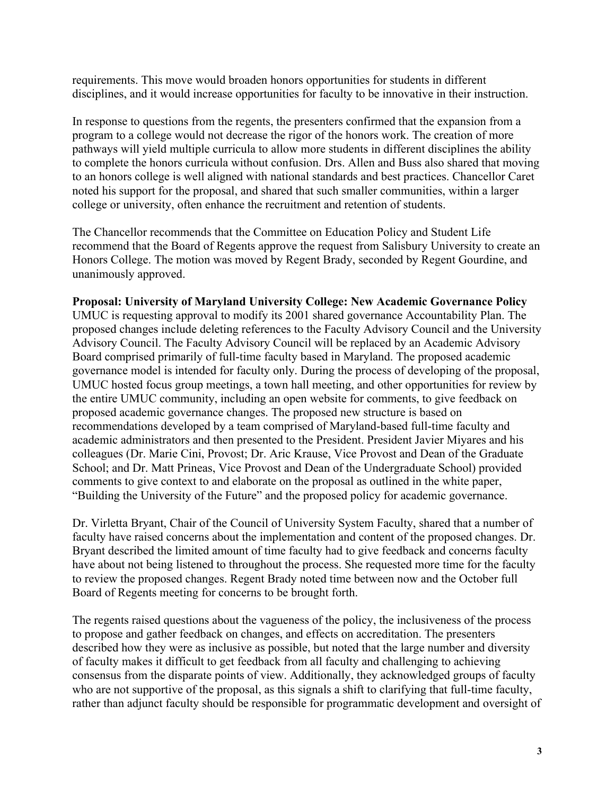requirements. This move would broaden honors opportunities for students in different disciplines, and it would increase opportunities for faculty to be innovative in their instruction.

In response to questions from the regents, the presenters confirmed that the expansion from a program to a college would not decrease the rigor of the honors work. The creation of more pathways will yield multiple curricula to allow more students in different disciplines the ability to complete the honors curricula without confusion. Drs. Allen and Buss also shared that moving to an honors college is well aligned with national standards and best practices. Chancellor Caret noted his support for the proposal, and shared that such smaller communities, within a larger college or university, often enhance the recruitment and retention of students.

The Chancellor recommends that the Committee on Education Policy and Student Life recommend that the Board of Regents approve the request from Salisbury University to create an Honors College. The motion was moved by Regent Brady, seconded by Regent Gourdine, and unanimously approved.

#### **Proposal: University of Maryland University College: New Academic Governance Policy**

UMUC is requesting approval to modify its 2001 shared governance Accountability Plan. The proposed changes include deleting references to the Faculty Advisory Council and the University Advisory Council. The Faculty Advisory Council will be replaced by an Academic Advisory Board comprised primarily of full-time faculty based in Maryland. The proposed academic governance model is intended for faculty only. During the process of developing of the proposal, UMUC hosted focus group meetings, a town hall meeting, and other opportunities for review by the entire UMUC community, including an open website for comments, to give feedback on proposed academic governance changes. The proposed new structure is based on recommendations developed by a team comprised of Maryland-based full-time faculty and academic administrators and then presented to the President. President Javier Miyares and his colleagues (Dr. Marie Cini, Provost; Dr. Aric Krause, Vice Provost and Dean of the Graduate School; and Dr. Matt Prineas, Vice Provost and Dean of the Undergraduate School) provided comments to give context to and elaborate on the proposal as outlined in the white paper, "Building the University of the Future" and the proposed policy for academic governance.

Dr. Virletta Bryant, Chair of the Council of University System Faculty, shared that a number of faculty have raised concerns about the implementation and content of the proposed changes. Dr. Bryant described the limited amount of time faculty had to give feedback and concerns faculty have about not being listened to throughout the process. She requested more time for the faculty to review the proposed changes. Regent Brady noted time between now and the October full Board of Regents meeting for concerns to be brought forth.

The regents raised questions about the vagueness of the policy, the inclusiveness of the process to propose and gather feedback on changes, and effects on accreditation. The presenters described how they were as inclusive as possible, but noted that the large number and diversity of faculty makes it difficult to get feedback from all faculty and challenging to achieving consensus from the disparate points of view. Additionally, they acknowledged groups of faculty who are not supportive of the proposal, as this signals a shift to clarifying that full-time faculty, rather than adjunct faculty should be responsible for programmatic development and oversight of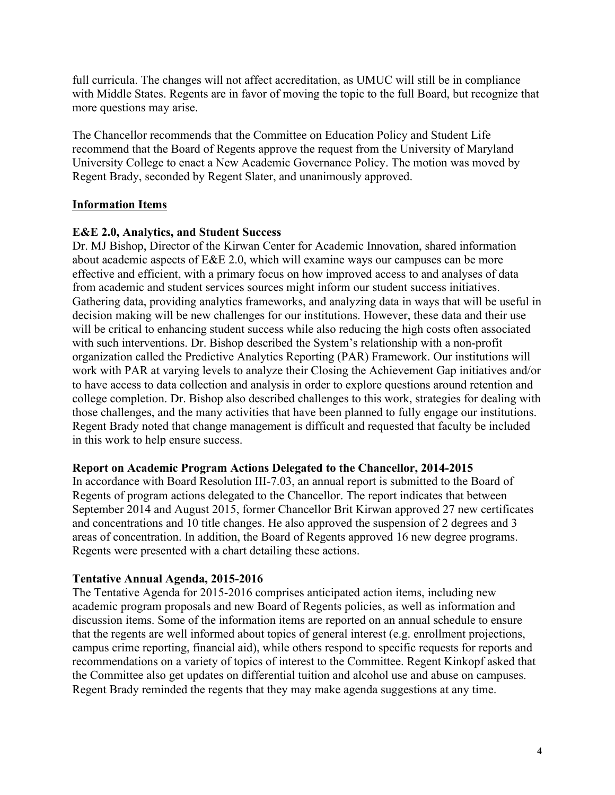full curricula. The changes will not affect accreditation, as UMUC will still be in compliance with Middle States. Regents are in favor of moving the topic to the full Board, but recognize that more questions may arise.

The Chancellor recommends that the Committee on Education Policy and Student Life recommend that the Board of Regents approve the request from the University of Maryland University College to enact a New Academic Governance Policy. The motion was moved by Regent Brady, seconded by Regent Slater, and unanimously approved.

## **Information Items**

#### **E&E 2.0, Analytics, and Student Success**

Dr. MJ Bishop, Director of the Kirwan Center for Academic Innovation, shared information about academic aspects of E&E 2.0, which will examine ways our campuses can be more effective and efficient, with a primary focus on how improved access to and analyses of data from academic and student services sources might inform our student success initiatives. Gathering data, providing analytics frameworks, and analyzing data in ways that will be useful in decision making will be new challenges for our institutions. However, these data and their use will be critical to enhancing student success while also reducing the high costs often associated with such interventions. Dr. Bishop described the System's relationship with a non-profit organization called the Predictive Analytics Reporting (PAR) Framework. Our institutions will work with PAR at varying levels to analyze their Closing the Achievement Gap initiatives and/or to have access to data collection and analysis in order to explore questions around retention and college completion. Dr. Bishop also described challenges to this work, strategies for dealing with those challenges, and the many activities that have been planned to fully engage our institutions. Regent Brady noted that change management is difficult and requested that faculty be included in this work to help ensure success.

#### **Report on Academic Program Actions Delegated to the Chancellor, 2014-2015**

In accordance with Board Resolution III-7.03, an annual report is submitted to the Board of Regents of program actions delegated to the Chancellor. The report indicates that between September 2014 and August 2015, former Chancellor Brit Kirwan approved 27 new certificates and concentrations and 10 title changes. He also approved the suspension of 2 degrees and 3 areas of concentration. In addition, the Board of Regents approved 16 new degree programs. Regents were presented with a chart detailing these actions.

## **Tentative Annual Agenda, 2015-2016**

The Tentative Agenda for 2015-2016 comprises anticipated action items, including new academic program proposals and new Board of Regents policies, as well as information and discussion items. Some of the information items are reported on an annual schedule to ensure that the regents are well informed about topics of general interest (e.g. enrollment projections, campus crime reporting, financial aid), while others respond to specific requests for reports and recommendations on a variety of topics of interest to the Committee. Regent Kinkopf asked that the Committee also get updates on differential tuition and alcohol use and abuse on campuses. Regent Brady reminded the regents that they may make agenda suggestions at any time.